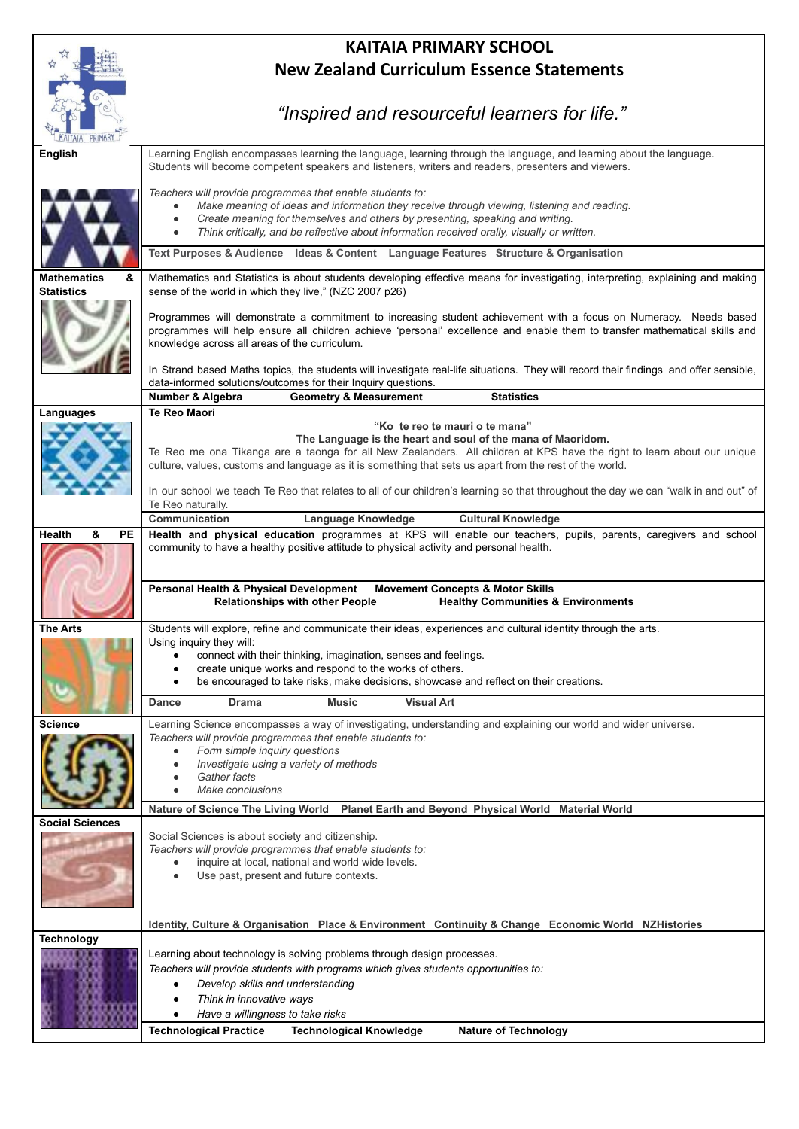|                                       | <b>KAITAIA PRIMARY SCHOOL</b>                                                                                                                                                            |
|---------------------------------------|------------------------------------------------------------------------------------------------------------------------------------------------------------------------------------------|
|                                       | <b>New Zealand Curriculum Essence Statements</b>                                                                                                                                         |
|                                       |                                                                                                                                                                                          |
|                                       |                                                                                                                                                                                          |
|                                       | "Inspired and resourceful learners for life."                                                                                                                                            |
|                                       |                                                                                                                                                                                          |
| English                               | Learning English encompasses learning the language, learning through the language, and learning about the language.                                                                      |
|                                       | Students will become competent speakers and listeners, writers and readers, presenters and viewers.                                                                                      |
|                                       | Teachers will provide programmes that enable students to:                                                                                                                                |
|                                       | Make meaning of ideas and information they receive through viewing, listening and reading.<br>Create meaning for themselves and others by presenting, speaking and writing.              |
|                                       | Think critically, and be reflective about information received orally, visually or written.                                                                                              |
|                                       | Text Purposes & Audience Ideas & Content Language Features Structure & Organisation                                                                                                      |
|                                       |                                                                                                                                                                                          |
| Mathematics<br>&<br><b>Statistics</b> | Mathematics and Statistics is about students developing effective means for investigating, interpreting, explaining and making<br>sense of the world in which they live," (NZC 2007 p26) |
|                                       |                                                                                                                                                                                          |
|                                       | Programmes will demonstrate a commitment to increasing student achievement with a focus on Numeracy. Needs based                                                                         |
|                                       | programmes will help ensure all children achieve 'personal' excellence and enable them to transfer mathematical skills and<br>knowledge across all areas of the curriculum.              |
|                                       |                                                                                                                                                                                          |
|                                       | In Strand based Maths topics, the students will investigate real-life situations. They will record their findings and offer sensible,                                                    |
|                                       | data-informed solutions/outcomes for their Inquiry questions.<br>Number & Algebra<br><b>Geometry &amp; Measurement</b><br><b>Statistics</b>                                              |
| Languages                             | <b>Te Reo Maori</b>                                                                                                                                                                      |
|                                       | "Ko te reo te mauri o te mana"                                                                                                                                                           |
|                                       | The Language is the heart and soul of the mana of Maoridom.<br>Te Reo me ona Tikanga are a taonga for all New Zealanders. All children at KPS have the right to learn about our unique   |
|                                       | culture, values, customs and language as it is something that sets us apart from the rest of the world.                                                                                  |
|                                       |                                                                                                                                                                                          |
|                                       | In our school we teach Te Reo that relates to all of our children's learning so that throughout the day we can "walk in and out" of<br>Te Reo naturally.                                 |
|                                       | Language Knowledge<br><b>Cultural Knowledge</b><br>Communication                                                                                                                         |
| Health<br>&<br>PЕ                     | Health and physical education programmes at KPS will enable our teachers, pupils, parents, caregivers and school                                                                         |
|                                       | community to have a healthy positive attitude to physical activity and personal health.                                                                                                  |
|                                       |                                                                                                                                                                                          |
|                                       | Personal Health & Physical Development<br><b>Movement Concepts &amp; Motor Skills</b><br><b>Relationships with other People</b><br><b>Healthy Communities &amp; Environments</b>         |
|                                       |                                                                                                                                                                                          |
| The Arts                              | Students will explore, refine and communicate their ideas, experiences and cultural identity through the arts.                                                                           |
|                                       | Using inquiry they will:<br>connect with their thinking, imagination, senses and feelings.                                                                                               |
|                                       | create unique works and respond to the works of others.                                                                                                                                  |
|                                       | be encouraged to take risks, make decisions, showcase and reflect on their creations.                                                                                                    |
|                                       | <b>Visual Art</b><br><b>Music</b><br><b>Dance</b><br><b>Drama</b>                                                                                                                        |
| Science                               | Learning Science encompasses a way of investigating, understanding and explaining our world and wider universe.                                                                          |
|                                       | Teachers will provide programmes that enable students to:                                                                                                                                |
|                                       | Form simple inquiry questions<br>Investigate using a variety of methods                                                                                                                  |
|                                       | Gather facts                                                                                                                                                                             |
|                                       | Make conclusions                                                                                                                                                                         |
|                                       | Nature of Science The Living World Planet Earth and Beyond Physical World Material World                                                                                                 |
| <b>Social Sciences</b>                | Social Sciences is about society and citizenship.                                                                                                                                        |
|                                       | Teachers will provide programmes that enable students to:                                                                                                                                |
|                                       | inquire at local, national and world wide levels.                                                                                                                                        |
|                                       | Use past, present and future contexts.                                                                                                                                                   |
|                                       |                                                                                                                                                                                          |
|                                       | Identity, Culture & Organisation Place & Environment Continuity & Change Economic World NZHistories                                                                                      |
| <b>Technology</b>                     |                                                                                                                                                                                          |
|                                       | Learning about technology is solving problems through design processes.                                                                                                                  |
|                                       | Teachers will provide students with programs which gives students opportunities to:                                                                                                      |
|                                       | Develop skills and understanding<br>Think in innovative ways                                                                                                                             |
|                                       | Have a willingness to take risks                                                                                                                                                         |
|                                       | <b>Technological Practice</b><br><b>Technological Knowledge</b><br><b>Nature of Technology</b>                                                                                           |
|                                       |                                                                                                                                                                                          |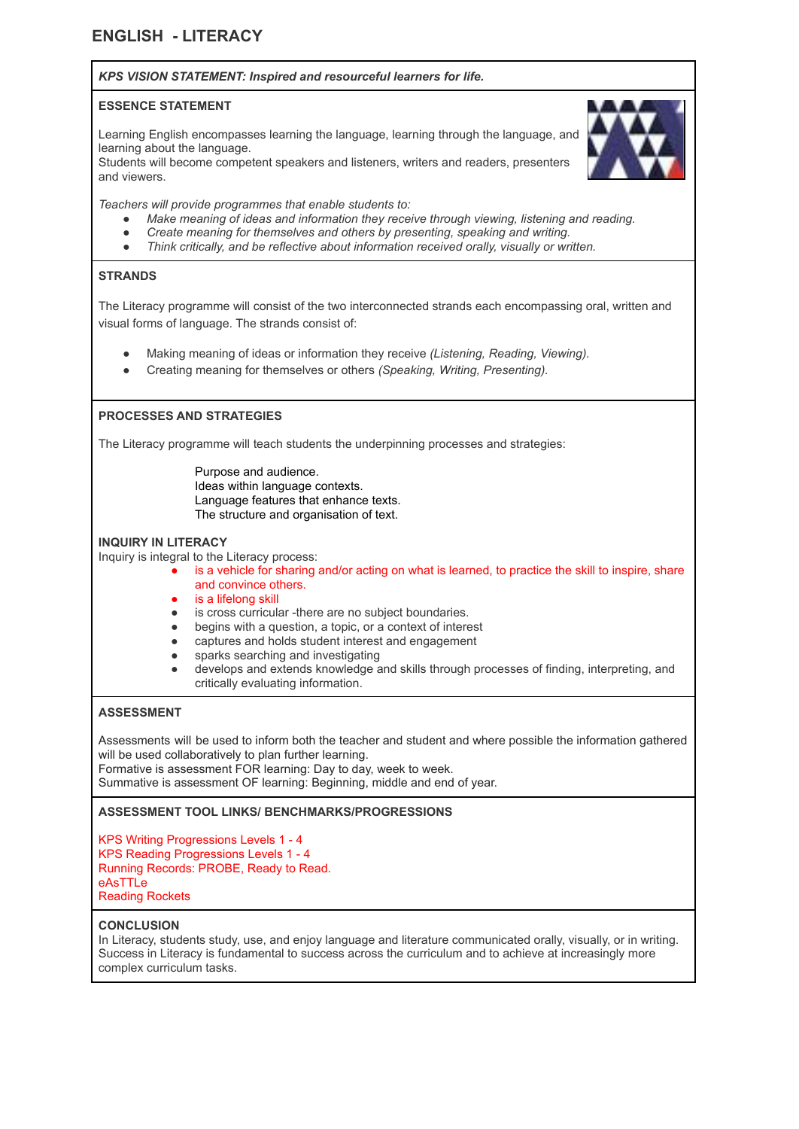# **ENGLISH - LITERACY**

# *KPS VISION STATEMENT: Inspired and resourceful learners for life.*

#### **ESSENCE STATEMENT**

Learning English encompasses learning the language, learning through the language, and learning about the language.

Students will become competent speakers and listeners, writers and readers, presenters and viewers.



*Teachers will provide programmes that enable students to:*

- *● Make meaning of ideas and information they receive through viewing, listening and reading.*
- *● Create meaning for themselves and others by presenting, speaking and writing.*
- *● Think critically, and be reflective about information received orally, visually or written.*

# **STRANDS**

The Literacy programme will consist of the two interconnected strands each encompassing oral, written and visual forms of language. The strands consist of:

- Making meaning of ideas or information they receive *(Listening, Reading, Viewing).*
- Creating meaning for themselves or others *(Speaking, Writing, Presenting).*

# **PROCESSES AND STRATEGIES**

The Literacy programme will teach students the underpinning processes and strategies:

Purpose and audience. Ideas within language contexts. Language features that enhance texts. The structure and organisation of text.

#### **INQUIRY IN LITERACY**

Inquiry is integral to the Literacy process:

- is a vehicle for sharing and/or acting on what is learned, to practice the skill to inspire, share and convince others.
- is a lifelong skill
- is cross curricular -there are no subject boundaries.
- begins with a question, a topic, or a context of interest
- captures and holds student interest and engagement
- sparks searching and investigating
- develops and extends knowledge and skills through processes of finding, interpreting, and critically evaluating information.

#### **ASSESSMENT**

Assessments will be used to inform both the teacher and student and where possible the information gathered will be used collaboratively to plan further learning.

Formative is assessment FOR learning: Day to day, week to week.

Summative is assessment OF learning: Beginning, middle and end of year.

#### **ASSESSMENT TOOL LINKS/ BENCHMARKS/PROGRESSIONS**

KPS Writing Progressions Levels 1 - 4 KPS Reading Progressions Levels 1 - 4 Running Records: PROBE, Ready to Read. eAsTTLe Reading Rockets

#### **CONCLUSION**

In Literacy, students study, use, and enjoy language and literature communicated orally, visually, or in writing. Success in Literacy is fundamental to success across the curriculum and to achieve at increasingly more complex curriculum tasks.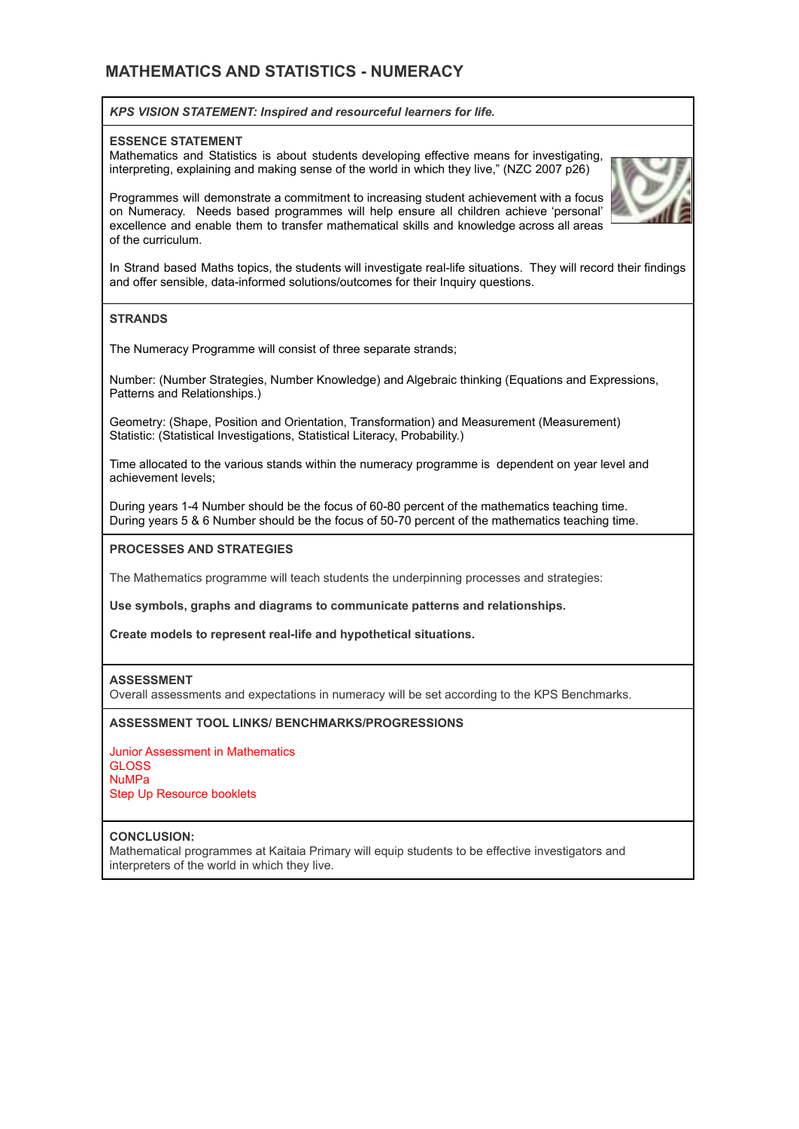# **MATHEMATICS AND STATISTICS - NUMERACY**

#### *KPS VISION STATEMENT: Inspired and resourceful learners for life.*

#### **ESSENCE STATEMENT**

Mathematics and Statistics is about students developing effective means for investigating, interpreting, explaining and making sense of the world in which they live," (NZC 2007 p26)



Programmes will demonstrate a commitment to increasing student achievement with a focus on Numeracy. Needs based programmes will help ensure all children achieve 'personal' excellence and enable them to transfer mathematical skills and knowledge across all areas of the curriculum.

In Strand based Maths topics, the students will investigate real-life situations. They will record their findings and offer sensible, data-informed solutions/outcomes for their Inquiry questions.

# **STRANDS**

The Numeracy Programme will consist of three separate strands;

Number: (Number Strategies, Number Knowledge) and Algebraic thinking (Equations and Expressions, Patterns and Relationships.)

Geometry: (Shape, Position and Orientation, Transformation) and Measurement (Measurement) Statistic: (Statistical Investigations, Statistical Literacy, Probability.)

Time allocated to the various stands within the numeracy programme is dependent on year level and achievement levels;

During years 1-4 Number should be the focus of 60-80 percent of the mathematics teaching time. During years 5 & 6 Number should be the focus of 50-70 percent of the mathematics teaching time.

#### **PROCESSES AND STRATEGIES**

The Mathematics programme will teach students the underpinning processes and strategies:

**Use symbols, graphs and diagrams to communicate patterns and relationships.**

**Create models to represent real-life and hypothetical situations.**

#### **ASSESSMENT**

Overall assessments and expectations in numeracy will be set according to the KPS Benchmarks.

#### **ASSESSMENT TOOL LINKS/ BENCHMARKS/PROGRESSIONS**

Junior Assessment in Mathematics **GLOSS** NuMPa Step Up Resource booklets

#### **CONCLUSION:**

Mathematical programmes at Kaitaia Primary will equip students to be effective investigators and interpreters of the world in which they live.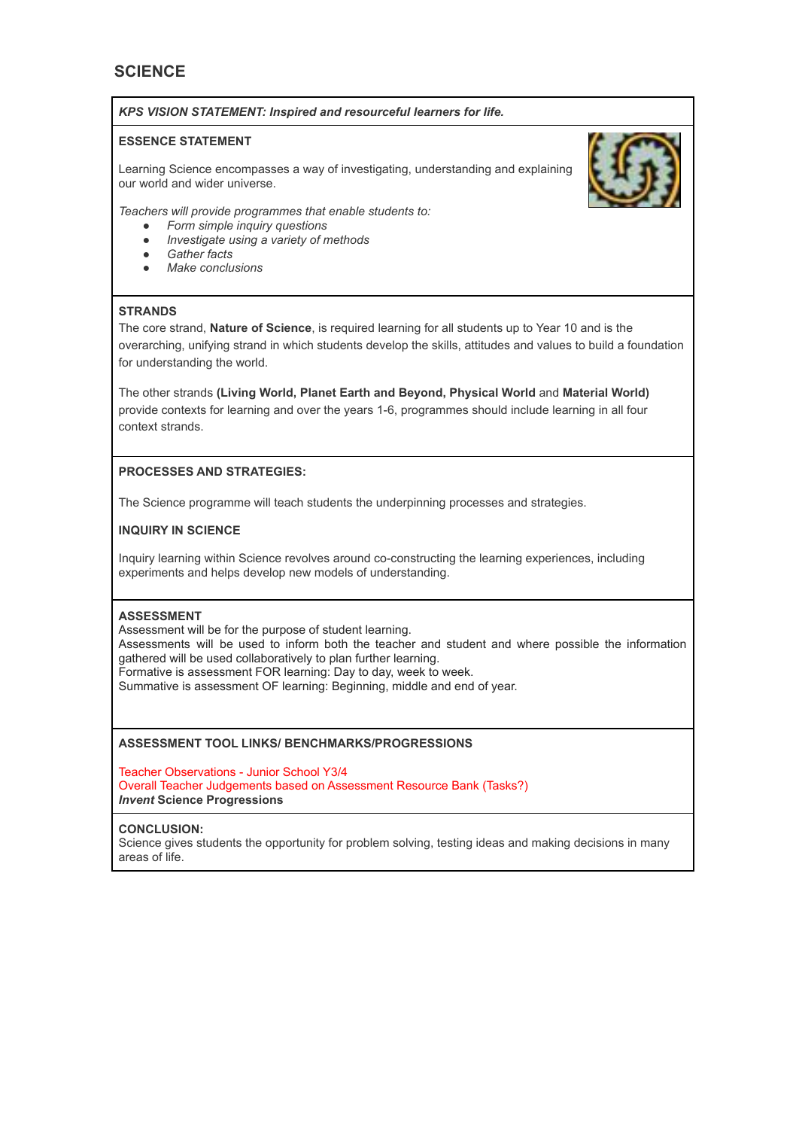# **SCIENCE**

#### *KPS VISION STATEMENT: Inspired and resourceful learners for life.*

### **ESSENCE STATEMENT**

Learning Science encompasses a way of investigating, understanding and explaining our world and wider universe.



*Teachers will provide programmes that enable students to:*

- *● Form simple inquiry questions*
- *● Investigate using a variety of methods*
- *● Gather facts*
- *● Make conclusions*

### **STRANDS**

The core strand, **Nature of Science**, is required learning for all students up to Year 10 and is the overarching, unifying strand in which students develop the skills, attitudes and values to build a foundation for understanding the world.

The other strands **(Living World, Planet Earth and Beyond, Physical World** and **Material World)** provide contexts for learning and over the years 1-6, programmes should include learning in all four context strands.

# **PROCESSES AND STRATEGIES:**

The Science programme will teach students the underpinning processes and strategies.

# **INQUIRY IN SCIENCE**

Inquiry learning within Science revolves around co-constructing the learning experiences, including experiments and helps develop new models of understanding.

# **ASSESSMENT**

Assessment will be for the purpose of student learning. Assessments will be used to inform both the teacher and student and where possible the information gathered will be used collaboratively to plan further learning. Formative is assessment FOR learning: Day to day, week to week. Summative is assessment OF learning: Beginning, middle and end of year.

# **ASSESSMENT TOOL LINKS/ BENCHMARKS/PROGRESSIONS**

Teacher Observations - Junior School Y3/4 Overall Teacher Judgements based on Assessment Resource Bank (Tasks?) *Invent* **Science Progressions**

#### **CONCLUSION:**

Science gives students the opportunity for problem solving, testing ideas and making decisions in many areas of life.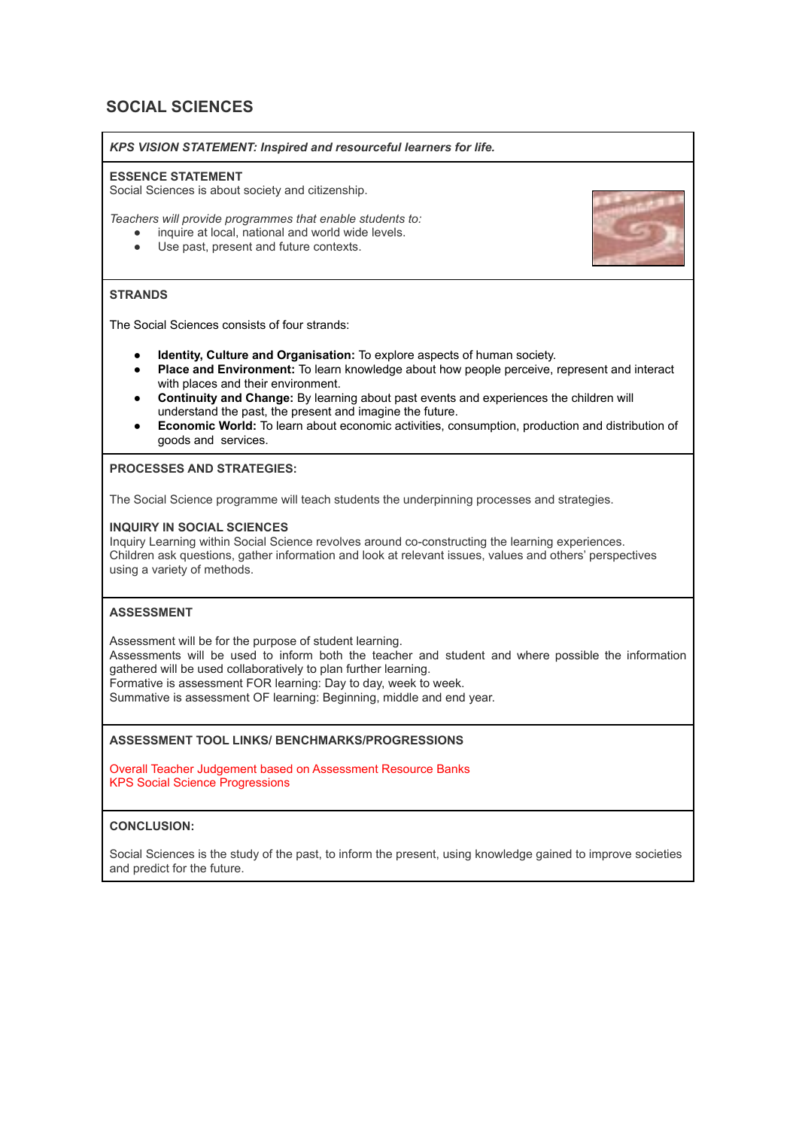# **SOCIAL SCIENCES**

*KPS VISION STATEMENT: Inspired and resourceful learners for life.*

#### **ESSENCE STATEMENT**

Social Sciences is about society and citizenship.

*Teachers will provide programmes that enable students to:*

- inquire at local, national and world wide levels.
- Use past, present and future contexts.

# **STRANDS**

The Social Sciences consists of four strands:

- **Identity, Culture and Organisation:** To explore aspects of human society.
- **Place and Environment:** To learn knowledge about how people perceive, represent and interact with places and their environment.
- **Continuity and Change:** By learning about past events and experiences the children will understand the past, the present and imagine the future.
- **Economic World:** To learn about economic activities, consumption, production and distribution of goods and services.

**PROCESSES AND STRATEGIES:**

The Social Science programme will teach students the underpinning processes and strategies.

### **INQUIRY IN SOCIAL SCIENCES**

Inquiry Learning within Social Science revolves around co-constructing the learning experiences. Children ask questions, gather information and look at relevant issues, values and others' perspectives using a variety of methods.

# **ASSESSMENT**

Assessment will be for the purpose of student learning. Assessments will be used to inform both the teacher and student and where possible the information gathered will be used collaboratively to plan further learning. Formative is assessment FOR learning: Day to day, week to week. Summative is assessment OF learning: Beginning, middle and end year.

### **ASSESSMENT TOOL LINKS/ BENCHMARKS/PROGRESSIONS**

Overall Teacher Judgement based on Assessment Resource Banks KPS Social Science Progressions

#### **CONCLUSION:**

Social Sciences is the study of the past, to inform the present, using knowledge gained to improve societies and predict for the future.

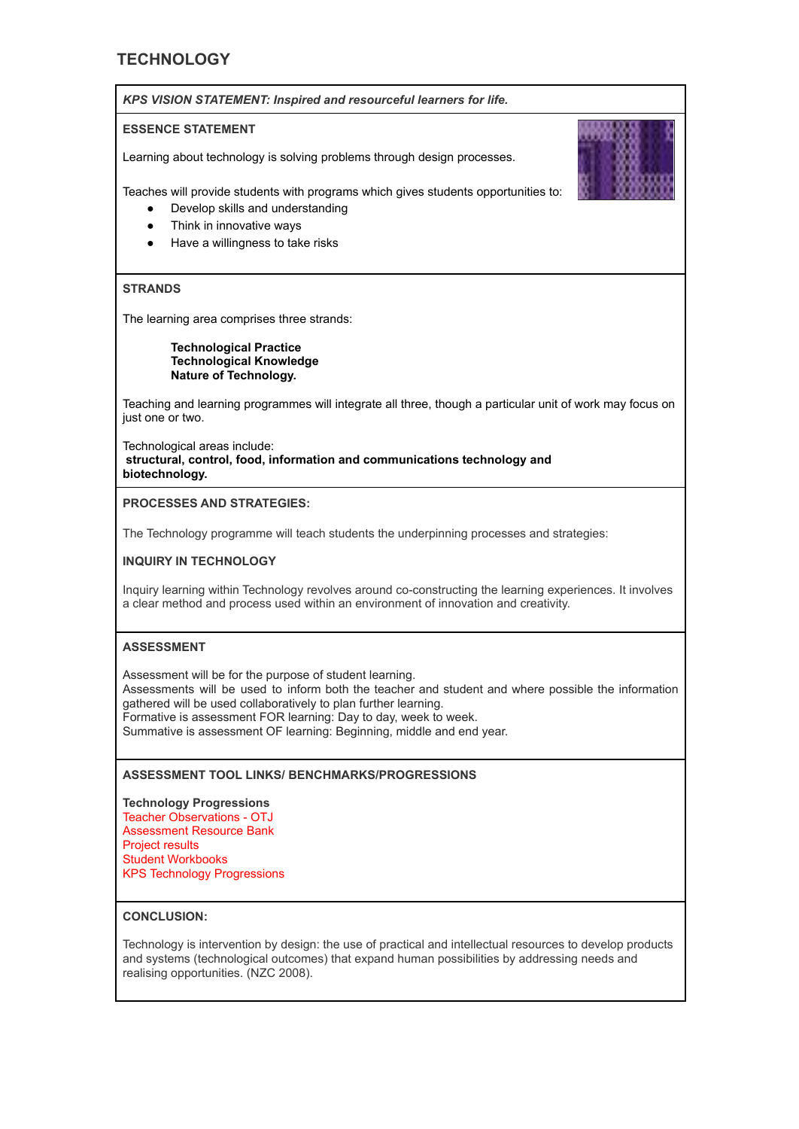# **TECHNOLOGY**



Technological areas include: **structural, control, food, information and communications technology and biotechnology.**

#### **PROCESSES AND STRATEGIES:**

The Technology programme will teach students the underpinning processes and strategies:

#### **INQUIRY IN TECHNOLOGY**

Inquiry learning within Technology revolves around co-constructing the learning experiences. It involves a clear method and process used within an environment of innovation and creativity.

#### **ASSESSMENT**

Assessment will be for the purpose of student learning. Assessments will be used to inform both the teacher and student and where possible the information gathered will be used collaboratively to plan further learning. Formative is assessment FOR learning: Day to day, week to week. Summative is assessment OF learning: Beginning, middle and end year.

# **ASSESSMENT TOOL LINKS/ BENCHMARKS/PROGRESSIONS**

**Technology Progressions** Teacher Observations - OTJ Assessment Resource Bank Project results Student Workbooks KPS Technology Progressions

# **CONCLUSION:**

Technology is intervention by design: the use of practical and intellectual resources to develop products and systems (technological outcomes) that expand human possibilities by addressing needs and realising opportunities. (NZC 2008).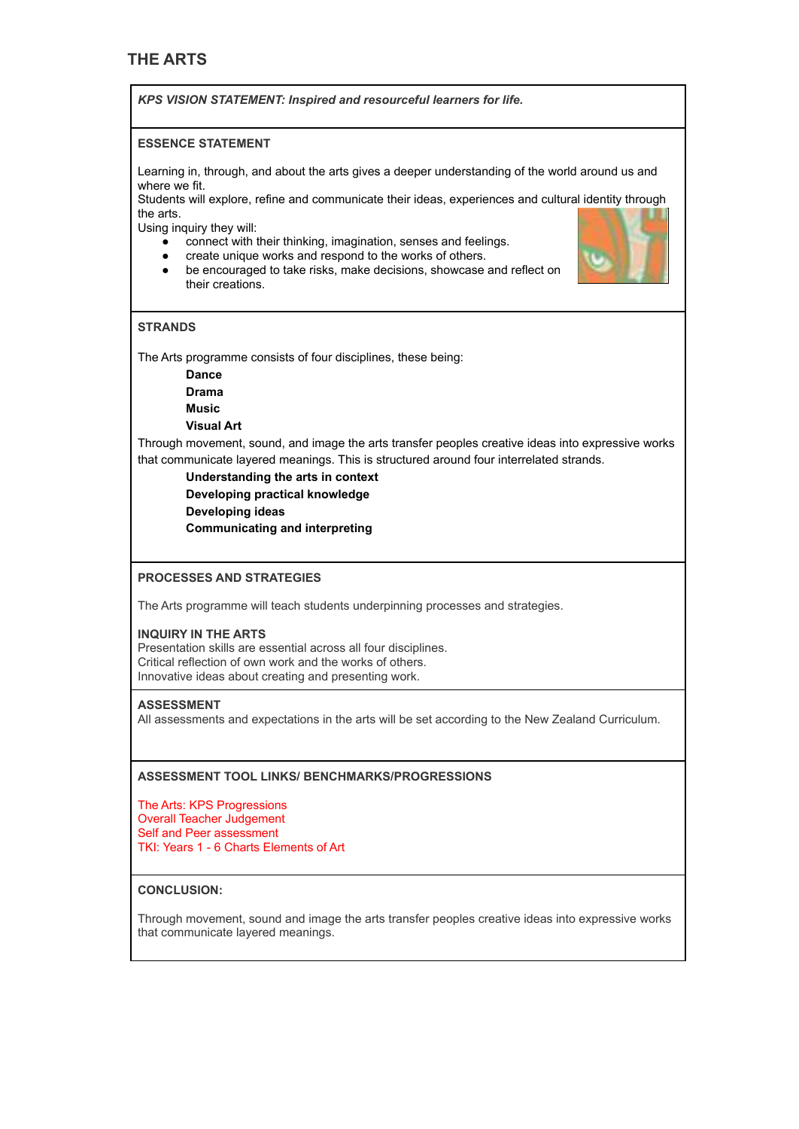# **THE ARTS**

*KPS VISION STATEMENT: Inspired and resourceful learners for life.*

#### **ESSENCE STATEMENT**

Learning in, through, and about the arts gives a deeper understanding of the world around us and where we fit.

Students will explore, refine and communicate their ideas, experiences and cultural identity through the arts.

Using inquiry they will:

- connect with their thinking, imagination, senses and feelings.
- create unique works and respond to the works of others.
- be encouraged to take risks, make decisions, showcase and reflect on their creations.



### **STRANDS**

The Arts programme consists of four disciplines, these being:

**Dance**

**Drama**

**Music**

**Visual Art**

Through movement, sound, and image the arts transfer peoples creative ideas into expressive works that communicate layered meanings. This is structured around four interrelated strands.

**Understanding the arts in context Developing practical knowledge Developing ideas Communicating and interpreting**

#### **PROCESSES AND STRATEGIES**

The Arts programme will teach students underpinning processes and strategies.

#### **INQUIRY IN THE ARTS**

Presentation skills are essential across all four disciplines. Critical reflection of own work and the works of others. Innovative ideas about creating and presenting work.

#### **ASSESSMENT**

All assessments and expectations in the arts will be set according to the New Zealand Curriculum.

#### **ASSESSMENT TOOL LINKS/ BENCHMARKS/PROGRESSIONS**

The Arts: KPS Progressions Overall Teacher Judgement Self and Peer assessment TKI: Years 1 - 6 Charts Elements of Art

# **CONCLUSION:**

Through movement, sound and image the arts transfer peoples creative ideas into expressive works that communicate layered meanings.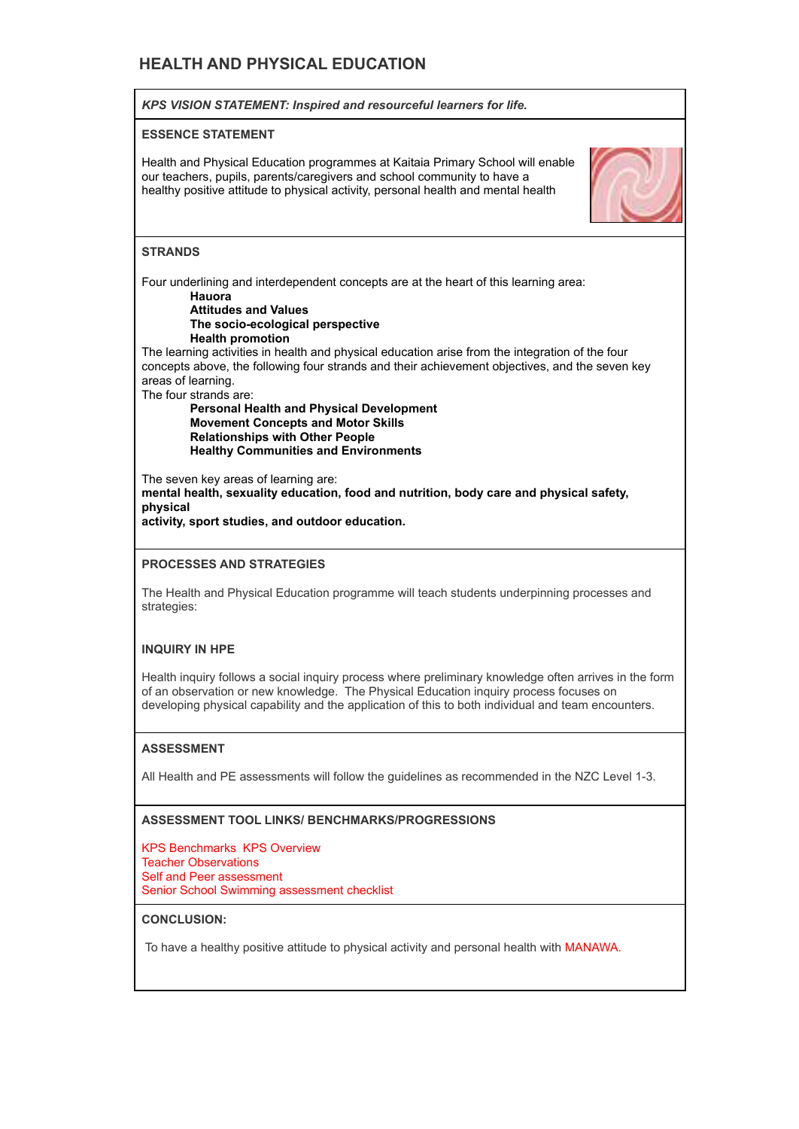# **HEALTH AND PHYSICAL EDUCATION**



# **CONCLUSION:**

To have a healthy positive attitude to physical activity and personal health with MANAWA.